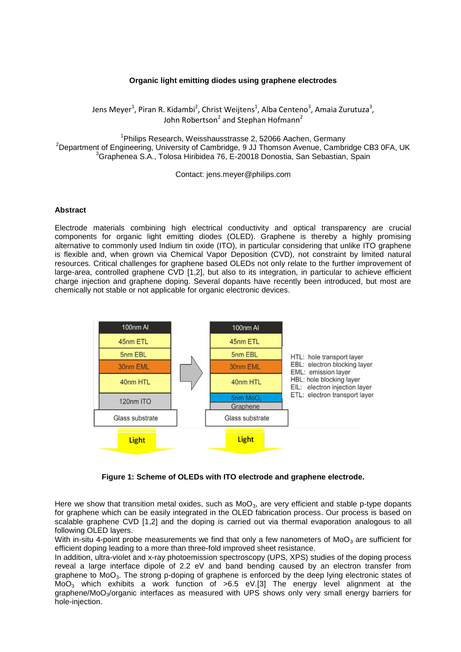## **Organic light emitting diodes using graphene electrodes**

Jens Meyer<sup>1</sup>, Piran R. Kidambi<sup>2</sup>, Christ Weijtens<sup>1</sup>, Alba Centeno<sup>3</sup>, Amaia Zurutuza<sup>3</sup>, John Robertson<sup>2</sup> and Stephan Hofmann<sup>2</sup>

<sup>1</sup>Philips Research, Weisshausstrasse 2, 52066 Aachen, Germany  $2D$ epartment of Engineering, University of Cambridge, 9 JJ Thomson Avenue, Cambridge CB3 0FA, UK <sup>3</sup>Graphenea S.A., Tolosa Hiribidea 76, E-20018 Donostia, San Sebastian, Spain

Contact: jens.meyer@philips.com

## **Abstract**

Electrode materials combining high electrical conductivity and optical transparency are crucial components for organic light emitting diodes (OLED). Graphene is thereby a highly promising alternative to commonly used Indium tin oxide (ITO), in particular considering that unlike ITO graphene is flexible and, when grown via Chemical Vapor Deposition (CVD), not constraint by limited natural resources. Critical challenges for graphene based OLEDs not only relate to the further improvement of large-area, controlled graphene CVD [1,2], but also to its integration, in particular to achieve efficient charge injection and graphene doping. Several dopants have recently been introduced, but most are chemically not stable or not applicable for organic electronic devices.



**Figure 1: Scheme of OLEDs with ITO electrode and graphene electrode.**

Here we show that transition metal oxides, such as  $MoO<sub>3</sub>$ , are very efficient and stable p-type dopants for graphene which can be easily integrated in the OLED fabrication process. Our process is based on scalable graphene CVD [1,2] and the doping is carried out via thermal evaporation analogous to all following OLED layers.

With in-situ 4-point probe measurements we find that only a few nanometers of  $MoO<sub>3</sub>$  are sufficient for efficient doping leading to a more than three-fold improved sheet resistance.

In addition, ultra-violet and x-ray photoemission spectroscopy (UPS, XPS) studies of the doping process reveal a large interface dipole of 2.2 eV and band bending caused by an electron transfer from graphene to  $Mo_{3}$ . The strong p-doping of graphene is enforced by the deep lying electronic states of MoO<sub>3</sub> which exhibits a work function of  $>6.5$  eV.[3] The energy level alignment at the graphene/MoO<sub>3</sub>/organic interfaces as measured with UPS shows only very small energy barriers for hole-injection.